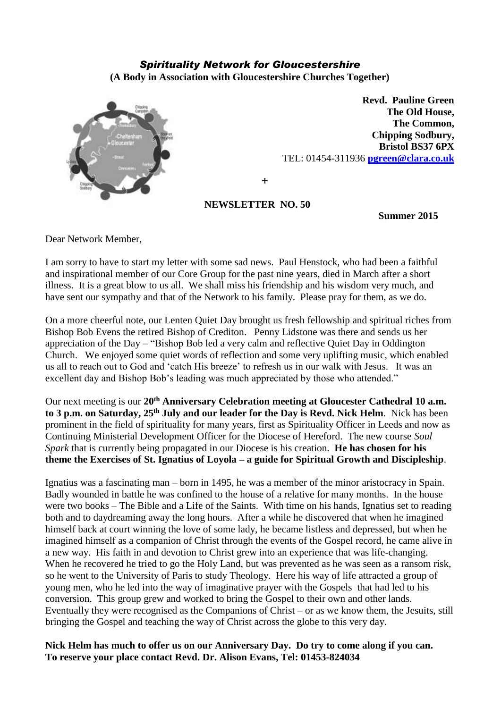## *Spirituality Network for Gloucestershire*

**(A Body in Association with Gloucestershire Churches Together)**



**Revd. Pauline Green The Old House, The Common, Chipping Sodbury, Bristol BS37 6PX** TEL: 01454-311936 **[pgreen@clara.co.uk](mailto:pgreen@clara.co.uk)**

**+**

## **NEWSLETTER NO. 50**

**Summer 2015**

Dear Network Member,

I am sorry to have to start my letter with some sad news. Paul Henstock, who had been a faithful and inspirational member of our Core Group for the past nine years, died in March after a short illness. It is a great blow to us all. We shall miss his friendship and his wisdom very much, and have sent our sympathy and that of the Network to his family. Please pray for them, as we do.

On a more cheerful note, our Lenten Quiet Day brought us fresh fellowship and spiritual riches from Bishop Bob Evens the retired Bishop of Crediton. Penny Lidstone was there and sends us her appreciation of the Day – "Bishop Bob led a very calm and reflective Quiet Day in Oddington Church. We enjoyed some quiet words of reflection and some very uplifting music, which enabled us all to reach out to God and 'catch His breeze' to refresh us in our walk with Jesus. It was an excellent day and Bishop Bob's leading was much appreciated by those who attended."

Our next meeting is our **20th Anniversary Celebration meeting at Gloucester Cathedral 10 a.m. to 3 p.m. on Saturday, 25th July and our leader for the Day is Revd. Nick Helm**. Nick has been prominent in the field of spirituality for many years, first as Spirituality Officer in Leeds and now as Continuing Ministerial Development Officer for the Diocese of Hereford. The new course *Soul Spark* that is currently being propagated in our Diocese is his creation. **He has chosen for his theme the Exercises of St. Ignatius of Loyola – a guide for Spiritual Growth and Discipleship**.

Ignatius was a fascinating man – born in 1495, he was a member of the minor aristocracy in Spain. Badly wounded in battle he was confined to the house of a relative for many months. In the house were two books – The Bible and a Life of the Saints. With time on his hands, Ignatius set to reading both and to daydreaming away the long hours. After a while he discovered that when he imagined himself back at court winning the love of some lady, he became listless and depressed, but when he imagined himself as a companion of Christ through the events of the Gospel record, he came alive in a new way. His faith in and devotion to Christ grew into an experience that was life-changing. When he recovered he tried to go the Holy Land, but was prevented as he was seen as a ransom risk, so he went to the University of Paris to study Theology. Here his way of life attracted a group of young men, who he led into the way of imaginative prayer with the Gospels that had led to his conversion. This group grew and worked to bring the Gospel to their own and other lands. Eventually they were recognised as the Companions of Christ – or as we know them, the Jesuits, still bringing the Gospel and teaching the way of Christ across the globe to this very day.

**Nick Helm has much to offer us on our Anniversary Day. Do try to come along if you can. To reserve your place contact Revd. Dr. Alison Evans, Tel: 01453-824034**